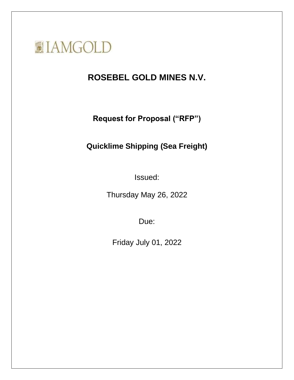

# **ROSEBEL GOLD MINES N.V.**

**Request for Proposal ("RFP")**

# **Quicklime Shipping (Sea Freight)**

Issued:

Thursday May 26, 2022

Due:

Friday July 01, 2022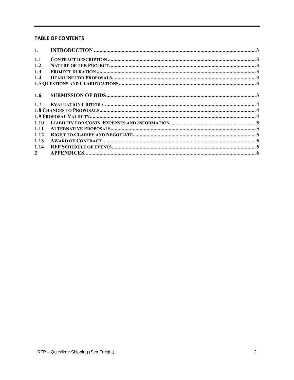## **TABLE OF CONTENTS**

| <u>1.</u>   |  |  |  |
|-------------|--|--|--|
| 1.1         |  |  |  |
| 1.2         |  |  |  |
| 1.3         |  |  |  |
| 1.4         |  |  |  |
|             |  |  |  |
|             |  |  |  |
| 1.6         |  |  |  |
| 1.7         |  |  |  |
|             |  |  |  |
|             |  |  |  |
|             |  |  |  |
| 1.11        |  |  |  |
| 1.12        |  |  |  |
| 1.13        |  |  |  |
| 1.14        |  |  |  |
| $2^{\circ}$ |  |  |  |
|             |  |  |  |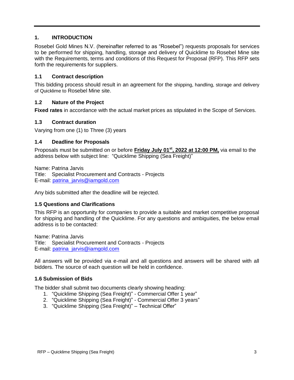## <span id="page-2-0"></span>**1. INTRODUCTION**

Rosebel Gold Mines N.V. (hereinafter referred to as "Rosebel") requests proposals for services to be performed for shipping, handling, storage and delivery of Quicklime to Rosebel Mine site with the Requirements, terms and conditions of this Request for Proposal (RFP). This RFP sets forth the requirements for suppliers.

### <span id="page-2-1"></span>**1.1 Contract description**

This bidding process should result in an agreement for the shipping, handling, storage and delivery of Quicklime to Rosebel Mine site.

#### <span id="page-2-2"></span>**1.2 Nature of the Project**

**Fixed rates** in accordance with the actual market prices as stipulated in the Scope of Services.

#### <span id="page-2-3"></span>**1.3 Contract duration**

Varying from one (1) to Three (3) years

#### <span id="page-2-4"></span>**1.4 Deadline for Proposals**

Proposals must be submitted on or before **Friday July 01st , 2022 at 12:00 PM,** via email to the address below with subject line: "Quicklime Shipping (Sea Freight)"

Name: Patrina Jarvis Title: Specialist Procurement and Contracts - Projects E-mail: [patrina\\_jarvis@iamgold.com](mailto:patrina_jarvis@iamgold.com)

<span id="page-2-5"></span>Any bids submitted after the deadline will be rejected.

#### **1.5 Questions and Clarifications**

This RFP is an opportunity for companies to provide a suitable and market competitive proposal for shipping and handling of the Quicklime. For any questions and ambiguities, the below email address is to be contacted:

Name: Patrina Jarvis Title: Specialist Procurement and Contracts - Projects E-mail: [patrina\\_jarvis@iamgold.com](mailto:patrina_jarvis@iamgold.com)

All answers will be provided via e-mail and all questions and answers will be shared with all bidders. The source of each question will be held in confidence.

#### <span id="page-2-6"></span>**1.6 Submission of Bids**

The bidder shall submit two documents clearly showing heading:

- 1. "Quicklime Shipping (Sea Freight)" Commercial Offer 1 year"
- 2. "Quicklime Shipping (Sea Freight)" Commercial Offer 3 years"
- 3. "Quicklime Shipping (Sea Freight)" Technical Offer"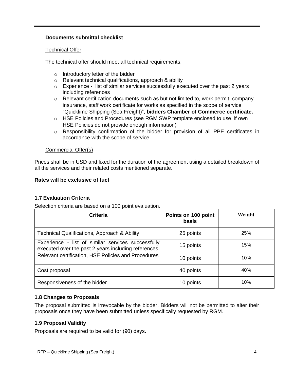## **Documents submittal checklist**

### Technical Offer

The technical offer should meet all technical requirements.

- o Introductory letter of the bidder
- o Relevant technical qualifications, approach & ability
- $\circ$  Experience list of similar services successfully executed over the past 2 years including references
- $\circ$  Relevant certification documents such as but not limited to, work permit, company insurance, staff work certificate for works as specified in the scope of service "Quicklime Shipping (Sea Freight)", **bidders Chamber of Commerce certificate.**
- o HSE Policies and Procedures (see RGM SWP template enclosed to use, if own HSE Policies do not provide enough information)
- o Responsibility confirmation of the bidder for provision of all PPE certificates in accordance with the scope of service.

## Commercial Offer(s)

Prices shall be in USD and fixed for the duration of the agreement using a detailed breakdown of all the services and their related costs mentioned separate.

## **Rates will be exclusive of fuel**

## <span id="page-3-0"></span>**1.7 Evaluation Criteria**

Selection criteria are based on a 100 point evaluation.

| Criteria                                                                                                  | Points on 100 point<br><b>basis</b> | Weight |
|-----------------------------------------------------------------------------------------------------------|-------------------------------------|--------|
| <b>Technical Qualifications, Approach &amp; Ability</b>                                                   | 25 points                           | 25%    |
| Experience - list of similar services successfully<br>executed over the past 2 years including references | 15 points                           | 15%    |
| Relevant certification, HSE Policies and Procedures                                                       | 10 points                           | 10%    |
| Cost proposal                                                                                             | 40 points                           | 40%    |
| Responsiveness of the bidder                                                                              | 10 points                           | 10%    |

## <span id="page-3-1"></span>**1.8 Changes to Proposals**

The proposal submitted is irrevocable by the bidder. Bidders will not be permitted to alter their proposals once they have been submitted unless specifically requested by RGM.

## <span id="page-3-2"></span>**1.9 Proposal Validity**

Proposals are required to be valid for (90) days.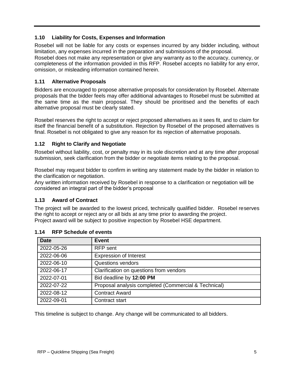## <span id="page-4-0"></span>**1.10 Liability for Costs, Expenses and Information**

Rosebel will not be liable for any costs or expenses incurred by any bidder including, without limitation, any expenses incurred in the preparation and submissions of the proposal.

Rosebel does not make any representation or give any warranty as to the accuracy, currency, or completeness of the information provided in this RFP. Rosebel accepts no liability for any error, omission, or misleading information contained herein.

## <span id="page-4-1"></span>**1.11 Alternative Proposals**

Bidders are encouraged to propose alternative proposals for consideration by Rosebel. Alternate proposals that the bidder feels may offer additional advantages to Rosebel must be submitted at the same time as the main proposal. They should be prioritised and the benefits of each alternative proposal must be clearly stated.

Rosebel reserves the right to accept or reject proposed alternatives as it sees fit, and to claim for itself the financial benefit of a substitution. Rejection by Rosebel of the proposed alternatives is final. Rosebel is not obligated to give any reason for its rejection of alternative proposals.

# <span id="page-4-2"></span>**1.12 Right to Clarify and Negotiate**

Rosebel without liability, cost, or penalty may in its sole discretion and at any time after proposal submission, seek clarification from the bidder or negotiate items relating to the proposal.

Rosebel may request bidder to confirm in writing any statement made by the bidder in relation to the clarification or negotiation.

Any written information received by Rosebel in response to a clarification or negotiation will be considered an integral part of the bidder's proposal

# <span id="page-4-3"></span>**1.13 Award of Contract**

The project will be awarded to the lowest priced, technically qualified bidder. Rosebel reserves the right to accept or reject any or all bids at any time prior to awarding the project. Project award will be subject to positive inspection by Rosebel HSE department.

| <b>Date</b> | <b>Event</b>                                         |
|-------------|------------------------------------------------------|
| 2022-05-26  | <b>RFP</b> sent                                      |
| 2022-06-06  | <b>Expression of Interest</b>                        |
| 2022-06-10  | <b>Questions vendors</b>                             |
| 2022-06-17  | Clarification on questions from vendors              |
| 2022-07-01  | Bid deadline by 12:00 PM                             |
| 2022-07-22  | Proposal analysis completed (Commercial & Technical) |
| 2022-08-12  | <b>Contract Award</b>                                |
| 2022-09-01  | Contract start                                       |

## <span id="page-4-4"></span>**1.14 RFP Schedule of events**

This timeline is subject to change. Any change will be communicated to all bidders.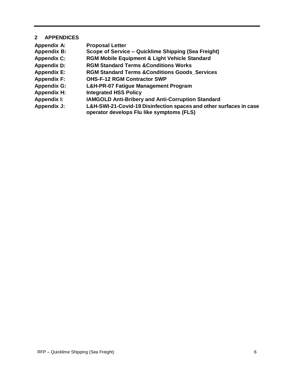## <span id="page-5-0"></span>**2 APPENDICES**

| <b>Appendix A:</b> | <b>Proposal Letter</b>                                                                                          |
|--------------------|-----------------------------------------------------------------------------------------------------------------|
| <b>Appendix B:</b> | Scope of Service – Quicklime Shipping (Sea Freight)                                                             |
| <b>Appendix C:</b> | <b>RGM Mobile Equipment &amp; Light Vehicle Standard</b>                                                        |
| <b>Appendix D:</b> | <b>RGM Standard Terms &amp; Conditions Works</b>                                                                |
| <b>Appendix E:</b> | <b>RGM Standard Terms &amp; Conditions Goods Services</b>                                                       |
| <b>Appendix F:</b> | <b>OHS-F-12 RGM Contractor SWP</b>                                                                              |
| <b>Appendix G:</b> | L&H-PR-07 Fatigue Management Program                                                                            |
| <b>Appendix H:</b> | <b>Integrated HSS Policy</b>                                                                                    |
| <b>Appendix I:</b> | <b>IAMGOLD Anti-Bribery and Anti-Corruption Standard</b>                                                        |
| <b>Appendix J:</b> | L&H-SWI-21-Covid-19 Disinfection spaces and other surfaces in case<br>operator develops Flu like symptoms (FLS) |